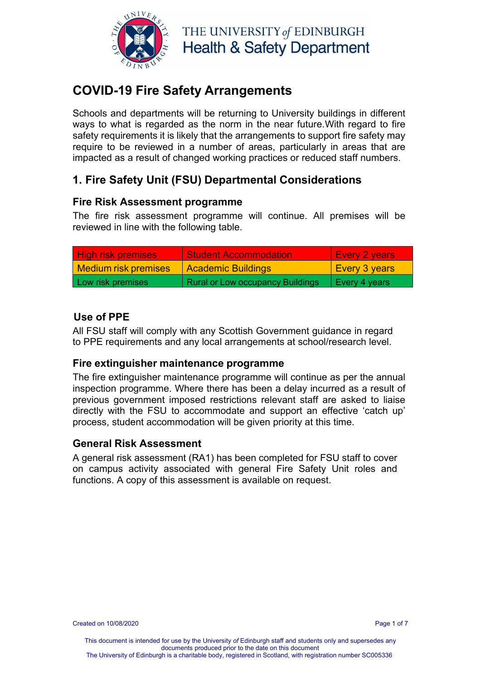

## **COVID-19 Fire Safety Arrangements**

Schools and departments will be returning to University buildings in different ways to what is regarded as the norm in the near future.With regard to fire safety requirements it is likely that the arrangements to support fire safety may require to be reviewed in a number of areas, particularly in areas that are impacted as a result of changed working practices or reduced staff numbers.

## **1. Fire Safety Unit (FSU) Departmental Considerations**

#### **Fire Risk Assessment programme**

The fire risk assessment programme will continue. All premises will be reviewed in line with the following table.

| <b>High risk premises</b> | <b>Student Accommodation</b>     | LEvery 2 years       |
|---------------------------|----------------------------------|----------------------|
| Medium risk premises      | <b>Academic Buildings</b>        | <b>Every 3 years</b> |
| Low risk premises         | Rural or Low occupancy Buildings | Every 4 years        |

### **Use of PPE**

All FSU staff will comply with any Scottish Government guidance in regard to PPE requirements and any local arrangements at school/research level.

#### **Fire extinguisher maintenance programme**

The fire extinguisher maintenance programme will continue as per the annual inspection programme. Where there has been a delay incurred as a result of previous government imposed restrictions relevant staff are asked to liaise directly with the FSU to accommodate and support an effective 'catch up' process, student accommodation will be given priority at this time.

#### **General Risk Assessment**

A general risk assessment (RA1) has been completed for FSU staff to cover on campus activity associated with general Fire Safety Unit roles and functions. A copy of this assessment is available on request.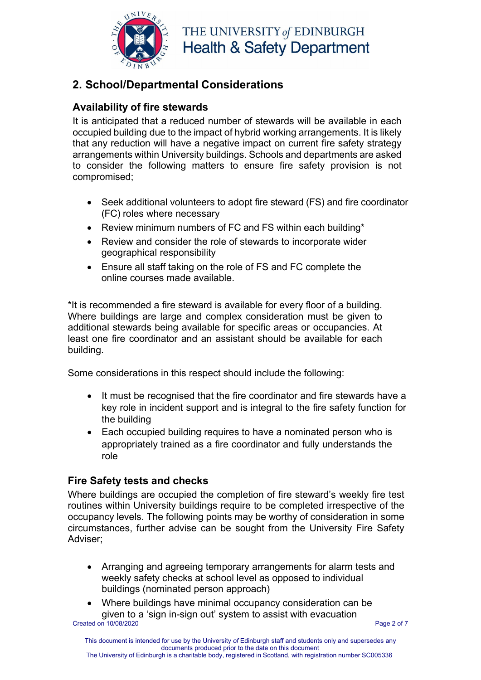

## **2. School/Departmental Considerations**

### **Availability of fire stewards**

It is anticipated that a reduced number of stewards will be available in each occupied building due to the impact of hybrid working arrangements. It is likely that any reduction will have a negative impact on current fire safety strategy arrangements within University buildings. Schools and departments are asked to consider the following matters to ensure fire safety provision is not compromised;

- Seek additional volunteers to adopt fire steward (FS) and fire coordinator (FC) roles where necessary
- Review minimum numbers of FC and FS within each building\*
- Review and consider the role of stewards to incorporate wider geographical responsibility
- Ensure all staff taking on the role of FS and FC complete the online courses made available.

\*It is recommended a fire steward is available for every floor of a building. Where buildings are large and complex consideration must be given to additional stewards being available for specific areas or occupancies. At least one fire coordinator and an assistant should be available for each building.

Some considerations in this respect should include the following:

- It must be recognised that the fire coordinator and fire stewards have a key role in incident support and is integral to the fire safety function for the building
- Each occupied building requires to have a nominated person who is appropriately trained as a fire coordinator and fully understands the role

### **Fire Safety tests and checks**

Where buildings are occupied the completion of fire steward's weekly fire test routines within University buildings require to be completed irrespective of the occupancy levels. The following points may be worthy of consideration in some circumstances, further advise can be sought from the University Fire Safety Adviser;

- Arranging and agreeing temporary arrangements for alarm tests and weekly safety checks at school level as opposed to individual buildings (nominated person approach)
- Created on 10/08/2020 **Page 2 of 7** and 2 of 7 • Where buildings have minimal occupancy consideration can be given to a 'sign in-sign out' system to assist with evacuation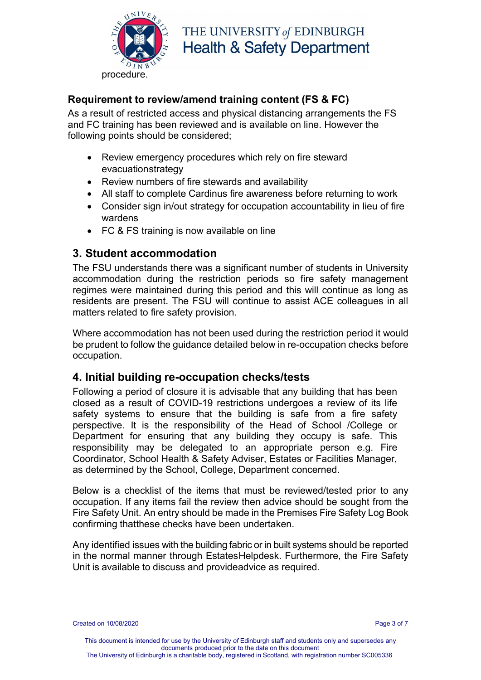

#### **Requirement to review/amend training content (FS & FC)**

As a result of restricted access and physical distancing arrangements the FS and FC training has been reviewed and is available on line. However the following points should be considered;

- Review emergency procedures which rely on fire steward evacuationstrategy
- Review numbers of fire stewards and availability
- All staff to complete Cardinus fire awareness before returning to work
- Consider sign in/out strategy for occupation accountability in lieu of fire wardens
- FC & FS training is now available on line

#### **3. Student accommodation**

The FSU understands there was a significant number of students in University accommodation during the restriction periods so fire safety management regimes were maintained during this period and this will continue as long as residents are present. The FSU will continue to assist ACE colleagues in all matters related to fire safety provision.

Where accommodation has not been used during the restriction period it would be prudent to follow the guidance detailed below in re-occupation checks before occupation.

#### **4. Initial building re-occupation checks/tests**

Following a period of closure it is advisable that any building that has been closed as a result of COVID-19 restrictions undergoes a review of its life safety systems to ensure that the building is safe from a fire safety perspective. It is the responsibility of the Head of School /College or Department for ensuring that any building they occupy is safe. This responsibility may be delegated to an appropriate person e.g. Fire Coordinator, School Health & Safety Adviser, Estates or Facilities Manager, as determined by the School, College, Department concerned.

Below is a checklist of the items that must be reviewed/tested prior to any occupation. If any items fail the review then advice should be sought from the Fire Safety Unit. An entry should be made in the Premises Fire Safety Log Book confirming thatthese checks have been undertaken.

Any identified issues with the building fabric or in built systems should be reported in the normal manner through Estates Helpdesk. Furthermore, the Fire Safety Unit is available to discuss and provideadvice as required.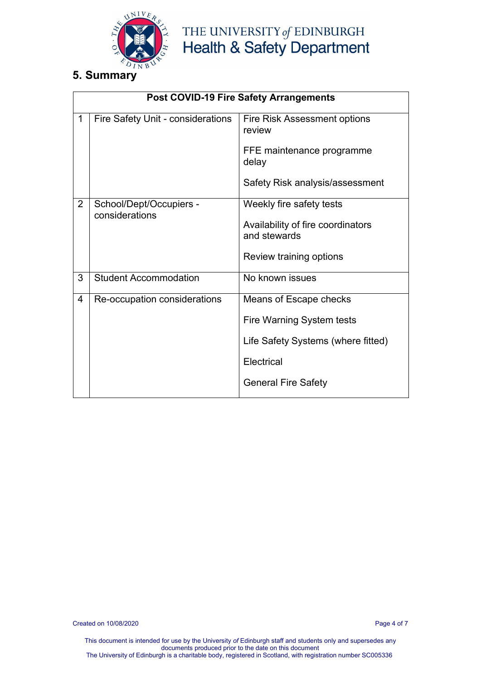

### **5. Summary**

|                | <b>Post COVID-19 Fire Safety Arrangements</b> |                                                   |  |
|----------------|-----------------------------------------------|---------------------------------------------------|--|
| $\mathbf 1$    | Fire Safety Unit - considerations             | Fire Risk Assessment options<br>review            |  |
|                |                                               | FFE maintenance programme<br>delay                |  |
|                |                                               | Safety Risk analysis/assessment                   |  |
| $\overline{2}$ | School/Dept/Occupiers -<br>considerations     | Weekly fire safety tests                          |  |
|                |                                               | Availability of fire coordinators<br>and stewards |  |
|                |                                               | Review training options                           |  |
| 3              | <b>Student Accommodation</b>                  | No known issues                                   |  |
| 4              | Re-occupation considerations                  | Means of Escape checks                            |  |
|                |                                               | Fire Warning System tests                         |  |
|                |                                               | Life Safety Systems (where fitted)                |  |
|                |                                               | Electrical                                        |  |
|                |                                               | <b>General Fire Safety</b>                        |  |

Created on 10/08/2020 Page 4 of 7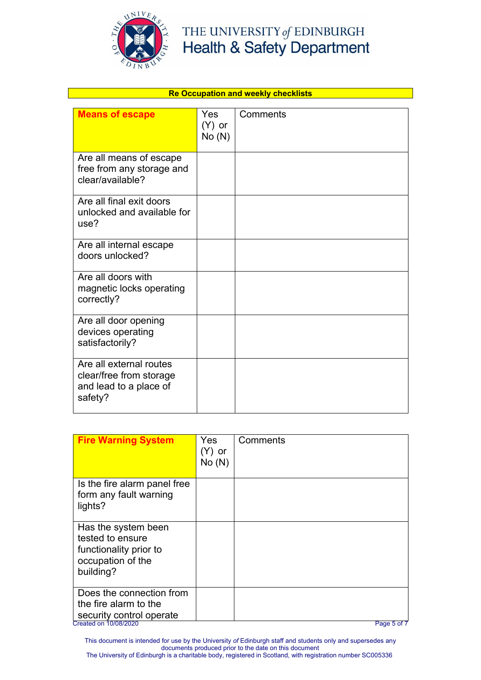

| <b>Re Occupation and weekly checklists</b>                                              |                               |          |
|-----------------------------------------------------------------------------------------|-------------------------------|----------|
| <b>Means of escape</b>                                                                  | <b>Yes</b><br>(Y) or<br>No(N) | Comments |
| Are all means of escape<br>free from any storage and<br>clear/available?                |                               |          |
| Are all final exit doors<br>unlocked and available for<br>use?                          |                               |          |
| Are all internal escape<br>doors unlocked?                                              |                               |          |
| Are all doors with<br>magnetic locks operating<br>correctly?                            |                               |          |
| Are all door opening<br>devices operating<br>satisfactorily?                            |                               |          |
| Are all external routes<br>clear/free from storage<br>and lead to a place of<br>safety? |                               |          |

| <b>Fire Warning System</b>                                                                             | Yes<br>(Y) or<br>No(N) | Comments |
|--------------------------------------------------------------------------------------------------------|------------------------|----------|
| Is the fire alarm panel free<br>form any fault warning<br>lights?                                      |                        |          |
| Has the system been<br>tested to ensure<br>functionality prior to<br>occupation of the<br>building?    |                        |          |
| Does the connection from<br>the fire alarm to the<br>security control operate<br>Created on 10/08/2020 |                        |          |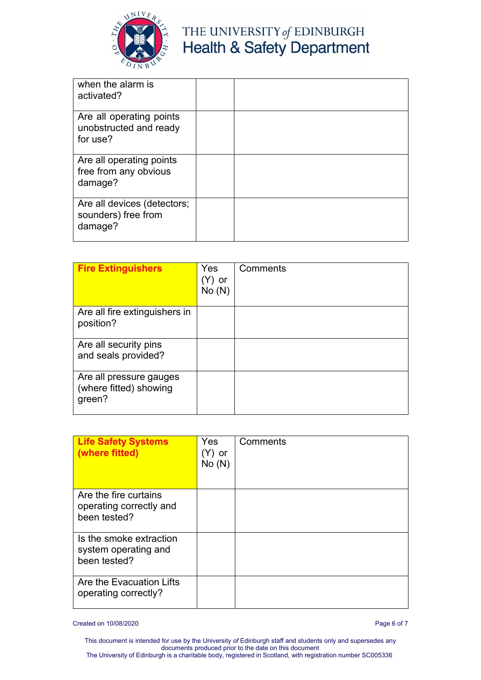

| when the alarm is<br>activated?                                |  |
|----------------------------------------------------------------|--|
| Are all operating points<br>unobstructed and ready<br>for use? |  |
| Are all operating points<br>free from any obvious<br>damage?   |  |
| Are all devices (detectors;<br>sounders) free from<br>damage?  |  |

| <b>Fire Extinguishers</b>                                   | Yes<br>(Y) or<br>No(N) | Comments |
|-------------------------------------------------------------|------------------------|----------|
| Are all fire extinguishers in<br>position?                  |                        |          |
| Are all security pins<br>and seals provided?                |                        |          |
| Are all pressure gauges<br>(where fitted) showing<br>green? |                        |          |

| <b>Life Safety Systems</b><br>(where fitted)                     | Yes<br>(Y) or<br>No(N) | Comments |
|------------------------------------------------------------------|------------------------|----------|
| Are the fire curtains<br>operating correctly and<br>been tested? |                        |          |
| Is the smoke extraction<br>system operating and<br>been tested?  |                        |          |
| Are the Evacuation Lifts<br>operating correctly?                 |                        |          |

Created on 10/08/2020 Page 6 of 7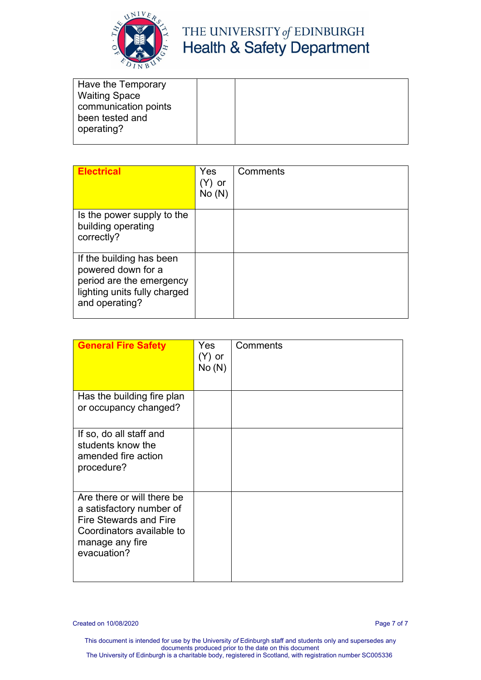

| Have the Temporary   |  |  |
|----------------------|--|--|
| <b>Waiting Space</b> |  |  |
| communication points |  |  |
| been tested and      |  |  |
| operating?           |  |  |
|                      |  |  |

| <b>Electrical</b>                                                                                                            | Yes<br>or<br>No(N) | Comments |
|------------------------------------------------------------------------------------------------------------------------------|--------------------|----------|
| Is the power supply to the<br>building operating<br>correctly?                                                               |                    |          |
| If the building has been<br>powered down for a<br>period are the emergency<br>lighting units fully charged<br>and operating? |                    |          |

| <b>General Fire Safety</b>                                                                                                                             | Yes:<br>$(Y)$ or<br>No(N) | Comments |
|--------------------------------------------------------------------------------------------------------------------------------------------------------|---------------------------|----------|
| Has the building fire plan<br>or occupancy changed?                                                                                                    |                           |          |
| If so, do all staff and<br>students know the<br>amended fire action<br>procedure?                                                                      |                           |          |
| Are there or will there be<br>a satisfactory number of<br><b>Fire Stewards and Fire</b><br>Coordinators available to<br>manage any fire<br>evacuation? |                           |          |

Created on 10/08/2020 Page 7 of 7